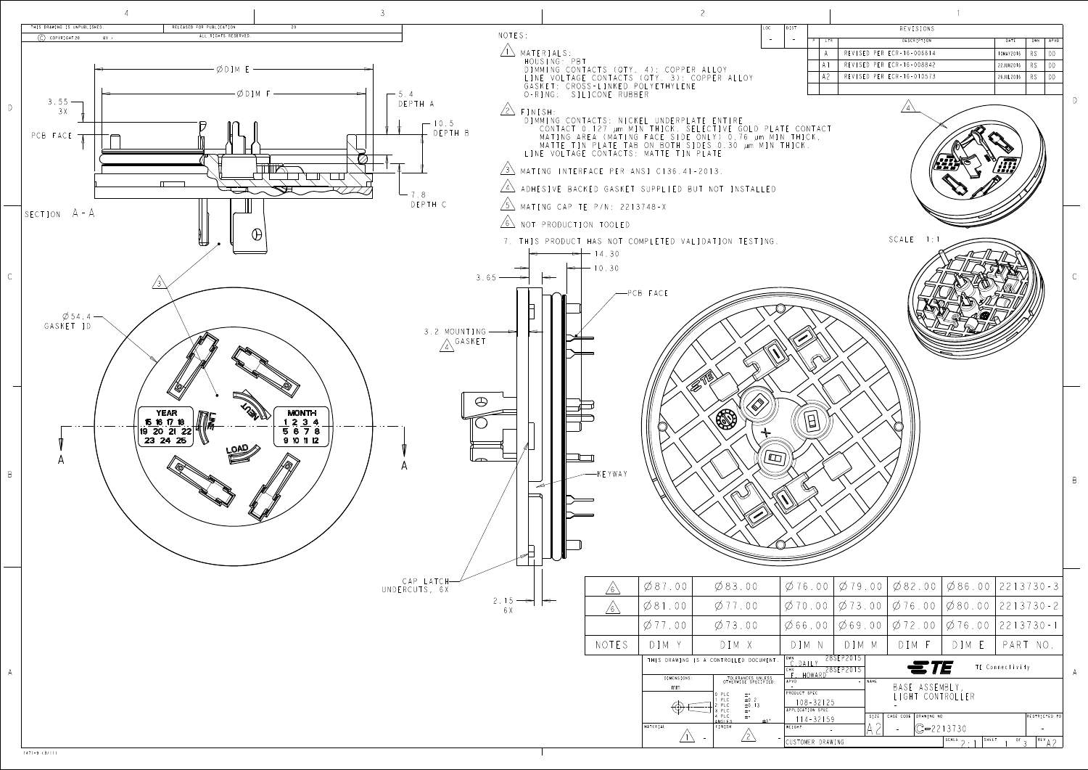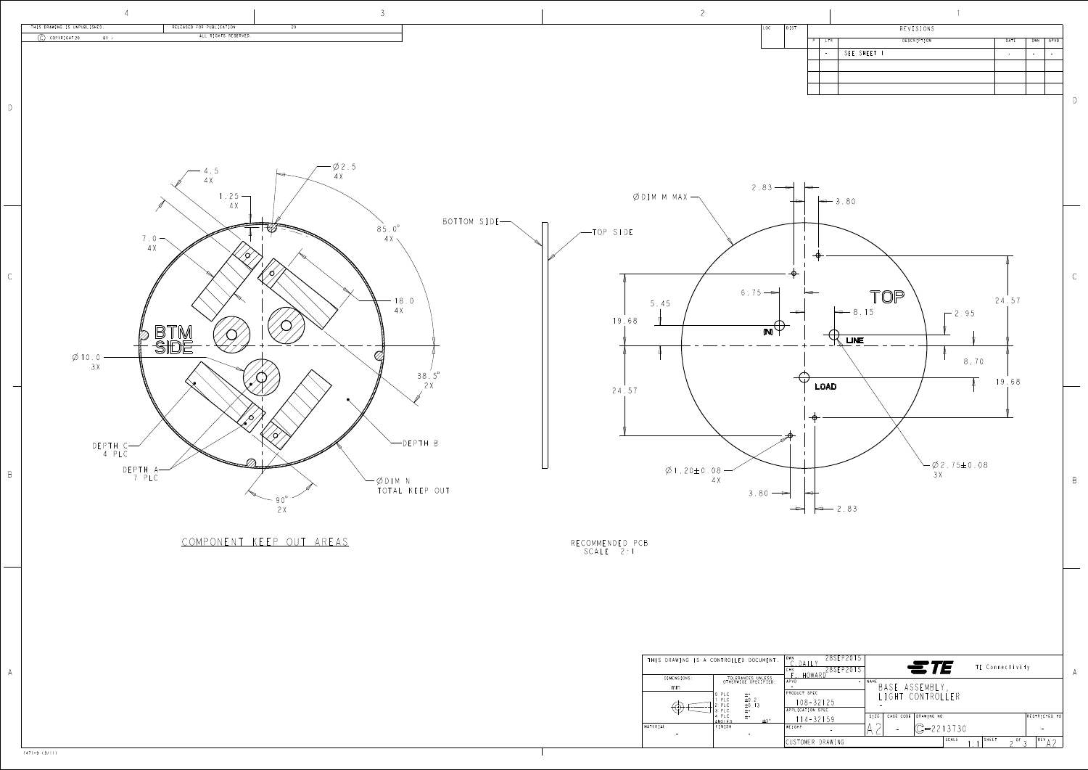

| THIS DRAWING IS A CONTROLLED DOCUMENT. |                                                                                                                          | 28SEP20<br>DWN<br>DAIL'<br>28SEP2015<br><b>CHK</b><br>HOWARD    | ETE                                                       | TE Connectivity                                          |
|----------------------------------------|--------------------------------------------------------------------------------------------------------------------------|-----------------------------------------------------------------|-----------------------------------------------------------|----------------------------------------------------------|
| DIMENSIONS:<br>mm.<br>ننا              | TOLERANCES UNLESS<br>OTHERWISE SPECIFIED:<br>0 PLC<br>$\pm$ -<br>PLC<br>$\pm 0.2$<br>PLC<br>$\pm 0.13$<br>PLC<br>$\pm$ - | APVD<br>$\sim$<br>PRODUCT SPEC<br>108-32125<br>APPLICATION SPEC | NAME<br>BASE ASSEMBLY,<br>LIGHT CONTROLLER                |                                                          |
| MATERIAL<br>$\overline{\phantom{a}}$   | PLC<br>$\pm$ -<br>$\pm$ 3 $\degree$<br>ANGIFS<br>FINISH                                                                  | $14 - 32159$<br><b>WEIGHT</b><br>CUSTOMER DRAWING               | CAGE CODE<br>DRAWING NO<br>SIZE<br>$C = 2213730$<br>SCALE | RESTRICTED TO<br>SHEET<br>$REV_A \sim$<br>- OF<br>$\sim$ |

1471-9 (3/11)